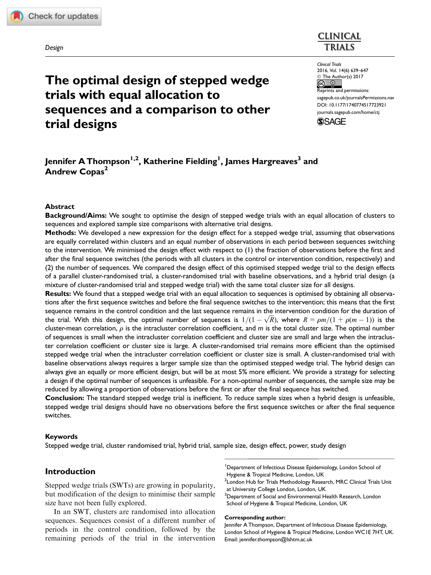Design

# The optimal design of stepped wedge trials with equal allocation to sequences and a comparison to other trial designs

# **CLINICAL TRIALS**

Clinical Trials 2016, Vol. 14(6) 639–647 © The Author(s) 2017  $^{(c)}$ 

Reprints and permissions: [sagepub.co.uk/journalsPermissions.nav](https://uk.sagepub.com/en-gb/journals-permissions) [DOI: 10.1177/1740774517723921](https://doi.dox.org/10.1177/1740774517723921) <journals.sagepub.com/home/ctj>

**SSAGE** 

# Jennifer A Thompson<sup>1,2</sup>, Katherine Fielding<sup>1</sup>, James Hargreaves<sup>3</sup> and Andrew Copas<sup>2</sup>

#### Abstract

**Background/Aims:** We sought to optimise the design of stepped wedge trials with an equal allocation of clusters to sequences and explored sample size comparisons with alternative trial designs.

Methods: We developed a new expression for the design effect for a stepped wedge trial, assuming that observations are equally correlated within clusters and an equal number of observations in each period between sequences switching to the intervention. We minimised the design effect with respect to (1) the fraction of observations before the first and after the final sequence switches (the periods with all clusters in the control or intervention condition, respectively) and (2) the number of sequences. We compared the design effect of this optimised stepped wedge trial to the design effects of a parallel cluster-randomised trial, a cluster-randomised trial with baseline observations, and a hybrid trial design (a mixture of cluster-randomised trial and stepped wedge trial) with the same total cluster size for all designs.

Results: We found that a stepped wedge trial with an equal allocation to sequences is optimised by obtaining all observations after the first sequence switches and before the final sequence switches to the intervention; this means that the first sequence remains in the control condition and the last sequence remains in the intervention condition for the duration of sequence remains in the control condition and the last sequence remains in the intervention condition for the duration of<br>the trial. With this design, the optimal number of sequences is  $1/(1 - \sqrt{R})$ , where  $R = \rho m/(1 + \rho(m - 1))$ cluster-mean correlation,  $\rho$  is the intracluster correlation coefficient, and m is the total cluster size. The optimal number of sequences is small when the intracluster correlation coefficient and cluster size are small and large when the intracluster correlation coefficient or cluster size is large. A cluster-randomised trial remains more efficient than the optimised stepped wedge trial when the intracluster correlation coefficient or cluster size is small. A cluster-randomised trial with baseline observations always requires a larger sample size than the optimised stepped wedge trial. The hybrid design can always give an equally or more efficient design, but will be at most 5% more efficient. We provide a strategy for selecting a design if the optimal number of sequences is unfeasible. For a non-optimal number of sequences, the sample size may be reduced by allowing a proportion of observations before the first or after the final sequence has switched.

Conclusion: The standard stepped wedge trial is inefficient. To reduce sample sizes when a hybrid design is unfeasible, stepped wedge trial designs should have no observations before the first sequence switches or after the final sequence switches.

#### Keywords

Stepped wedge trial, cluster randomised trial, hybrid trial, sample size, design effect, power, study design

## Introduction

Stepped wedge trials (SWTs) are growing in popularity, but modification of the design to minimise their sample size have not been fully explored.

In an SWT, clusters are randomised into allocation sequences. Sequences consist of a different number of periods in the control condition, followed by the remaining periods of the trial in the intervention

<sup>1</sup>Department of Infectious Disease Epidemiology, London School of Hygiene & Tropical Medicine, London, UK

<sup>2</sup> London Hub for Trials Methodology Research, MRC Clinical Trials Unit at University College London, London, UK

<sup>3</sup>Department of Social and Environmental Health Research, London School of Hygiene & Tropical Medicine, London, UK

#### Corresponding author:

Jennifer A Thompson, Department of Infectious Disease Epidemiology, London School of Hygiene & Tropical Medicine, London WC1E 7HT, UK. Email: jennifer.thompson@lshtm.ac.uk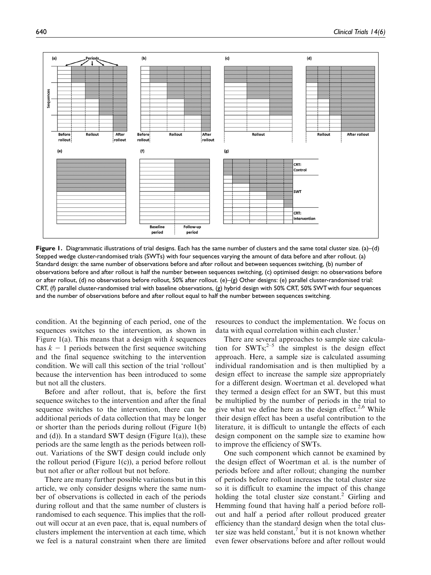

Figure 1. Diagrammatic illustrations of trial designs. Each has the same number of clusters and the same total cluster size. (a)–(d) Stepped wedge cluster-randomised trials (SWTs) with four sequences varying the amount of data before and after rollout. (a) Standard design: the same number of observations before and after rollout and between sequences switching, (b) number of observations before and after rollout is half the number between sequences switching, (c) optimised design: no observations before or after rollout, (d) no observations before rollout, 50% after rollout. (e)–(g) Other designs: (e) parallel cluster-randomised trial: CRT, (f) parallel cluster-randomised trial with baseline observations, (g) hybrid design with 50% CRT, 50% SWT with four sequences and the number of observations before and after rollout equal to half the number between sequences switching.

condition. At the beginning of each period, one of the sequences switches to the intervention, as shown in Figure 1(a). This means that a design with  $k$  sequences has  $k - 1$  periods between the first sequence switching and the final sequence switching to the intervention condition. We will call this section of the trial 'rollout' because the intervention has been introduced to some but not all the clusters.

Before and after rollout, that is, before the first sequence switches to the intervention and after the final sequence switches to the intervention, there can be additional periods of data collection that may be longer or shorter than the periods during rollout (Figure 1(b) and (d)). In a standard SWT design (Figure 1(a)), these periods are the same length as the periods between rollout. Variations of the SWT design could include only the rollout period (Figure  $1(c)$ ), a period before rollout but not after or after rollout but not before.

There are many further possible variations but in this article, we only consider designs where the same number of observations is collected in each of the periods during rollout and that the same number of clusters is randomised to each sequence. This implies that the rollout will occur at an even pace, that is, equal numbers of clusters implement the intervention at each time, which we feel is a natural constraint when there are limited resources to conduct the implementation. We focus on data with equal correlation within each cluster.<sup>1</sup>

There are several approaches to sample size calculation for  $SWTs$ ;<sup>2–5</sup> the simplest is the design effect approach. Here, a sample size is calculated assuming individual randomisation and is then multiplied by a design effect to increase the sample size appropriately for a different design. Woertman et al. developed what they termed a design effect for an SWT, but this must be multiplied by the number of periods in the trial to give what we define here as the design effect.<sup>2,6</sup> While their design effect has been a useful contribution to the literature, it is difficult to untangle the effects of each design component on the sample size to examine how to improve the efficiency of SWTs.

One such component which cannot be examined by the design effect of Woertman et al. is the number of periods before and after rollout; changing the number of periods before rollout increases the total cluster size so it is difficult to examine the impact of this change holding the total cluster size constant.<sup>2</sup> Girling and Hemming found that having half a period before rollout and half a period after rollout produced greater efficiency than the standard design when the total cluster size was held constant.<sup>7</sup> but it is not known whether even fewer observations before and after rollout would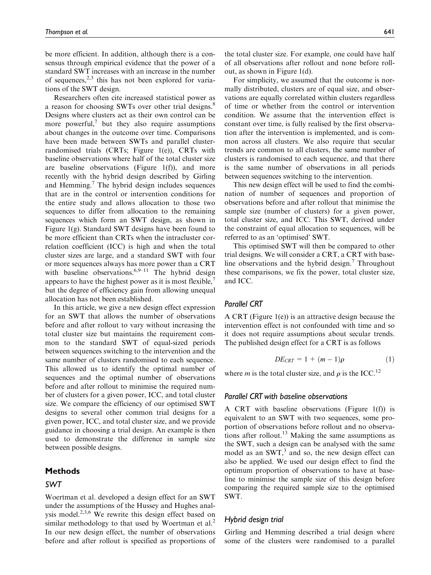be more efficient. In addition, although there is a consensus through empirical evidence that the power of a standard SWT increases with an increase in the number of sequences,  $2,3$  this has not been explored for variations of the SWT design.

Researchers often cite increased statistical power as a reason for choosing SWTs over other trial designs.<sup>8</sup> Designs where clusters act as their own control can be more powerful, $\frac{7}{1}$  but they also require assumptions about changes in the outcome over time. Comparisons have been made between SWTs and parallel clusterrandomised trials (CRTs; Figure 1(e)), CRTs with baseline observations where half of the total cluster size are baseline observations (Figure 1(f)), and more recently with the hybrid design described by Girling and Hemming.<sup>7</sup> The hybrid design includes sequences that are in the control or intervention conditions for the entire study and allows allocation to those two sequences to differ from allocation to the remaining sequences which form an SWT design, as shown in Figure 1(g). Standard SWT designs have been found to be more efficient than CRTs when the intracluster correlation coefficient (ICC) is high and when the total cluster sizes are large, and a standard SWT with four or more sequences always has more power than a CRT with baseline observations.<sup>6,9–11</sup> The hybrid design appears to have the highest power as it is most flexible, $\frac{7}{2}$ but the degree of efficiency gain from allowing unequal allocation has not been established.

In this article, we give a new design effect expression for an SWT that allows the number of observations before and after rollout to vary without increasing the total cluster size but maintains the requirement common to the standard SWT of equal-sized periods between sequences switching to the intervention and the same number of clusters randomised to each sequence. This allowed us to identify the optimal number of sequences and the optimal number of observations before and after rollout to minimise the required number of clusters for a given power, ICC, and total cluster size. We compare the efficiency of our optimised SWT designs to several other common trial designs for a given power, ICC, and total cluster size, and we provide guidance in choosing a trial design. An example is then used to demonstrate the difference in sample size between possible designs.

#### Methods

#### SWT

Woertman et al. developed a design effect for an SWT under the assumptions of the Hussey and Hughes analysis model.<sup>2,3,6</sup> We rewrite this design effect based on similar methodology to that used by Woertman et  $al^2$ . In our new design effect, the number of observations before and after rollout is specified as proportions of the total cluster size. For example, one could have half of all observations after rollout and none before rollout, as shown in Figure 1(d).

For simplicity, we assumed that the outcome is normally distributed, clusters are of equal size, and observations are equally correlated within clusters regardless of time or whether from the control or intervention condition. We assume that the intervention effect is constant over time, is fully realised by the first observation after the intervention is implemented, and is common across all clusters. We also require that secular trends are common to all clusters, the same number of clusters is randomised to each sequence, and that there is the same number of observations in all periods between sequences switching to the intervention.

This new design effect will be used to find the combination of number of sequences and proportion of observations before and after rollout that minimise the sample size (number of clusters) for a given power, total cluster size, and ICC. This SWT, derived under the constraint of equal allocation to sequences, will be referred to as an 'optimised' SWT.

This optimised SWT will then be compared to other trial designs. We will consider a CRT, a CRT with baseline observations and the hybrid design. $\frac{7}{7}$  Throughout these comparisons, we fix the power, total cluster size, and ICC.

#### Parallel CRT

A CRT (Figure 1(e)) is an attractive design because the intervention effect is not confounded with time and so it does not require assumptions about secular trends. The published design effect for a CRT is as follows

$$
DE_{CRT} = 1 + (m-1)\rho \tag{1}
$$

where *m* is the total cluster size, and  $\rho$  is the ICC.<sup>12</sup>

#### Parallel CRT with baseline observations

A CRT with baseline observations (Figure 1(f)) is equivalent to an SWT with two sequences, some proportion of observations before rollout and no observations after rollout.<sup>13</sup> Making the same assumptions as the SWT, such a design can be analysed with the same model as an  $\text{SWT}^3$ , and so, the new design effect can also be applied. We used our design effect to find the optimum proportion of observations to have at baseline to minimise the sample size of this design before comparing the required sample size to the optimised SWT.

#### Hybrid design trial

Girling and Hemming described a trial design where some of the clusters were randomised to a parallel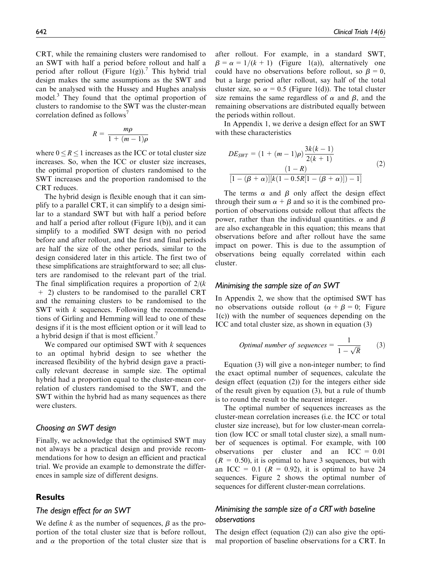CRT, while the remaining clusters were randomised to an SWT with half a period before rollout and half a period after rollout (Figure 1(g)).<sup>7</sup> This hybrid trial design makes the same assumptions as the SWT and can be analysed with the Hussey and Hughes analysis model.3 They found that the optimal proportion of clusters to randomise to the SWT was the cluster-mean correlation defined as follows<sup>7</sup>

$$
R = \frac{m\rho}{1 + (m-1)\rho}
$$

where  $0 \le R \le 1$  increases as the ICC or total cluster size increases. So, when the ICC or cluster size increases, the optimal proportion of clusters randomised to the SWT increases and the proportion randomised to the CRT reduces.

The hybrid design is flexible enough that it can simplify to a parallel CRT, it can simplify to a design similar to a standard SWT but with half a period before and half a period after rollout (Figure 1(b)), and it can simplify to a modified SWT design with no period before and after rollout, and the first and final periods are half the size of the other periods, similar to the design considered later in this article. The first two of these simplifications are straightforward to see; all clusters are randomised to the relevant part of the trial. The final simplification requires a proportion of  $2/(k)$ + 2) clusters to be randomised to the parallel CRT and the remaining clusters to be randomised to the SWT with *k* sequences. Following the recommendations of Girling and Hemming will lead to one of these designs if it is the most efficient option or it will lead to a hybrid design if that is most efficient.<sup>7</sup>

We compared our optimised SWT with  $k$  sequences to an optimal hybrid design to see whether the increased flexibility of the hybrid design gave a practically relevant decrease in sample size. The optimal hybrid had a proportion equal to the cluster-mean correlation of clusters randomised to the SWT, and the SWT within the hybrid had as many sequences as there were clusters.

#### Choosing an SWT design

Finally, we acknowledge that the optimised SWT may not always be a practical design and provide recommendations for how to design an efficient and practical trial. We provide an example to demonstrate the differences in sample size of different designs.

#### **Results**

#### The design effect for an SWT

We define k as the number of sequences,  $\beta$  as the proportion of the total cluster size that is before rollout, and  $\alpha$  the proportion of the total cluster size that is

after rollout. For example, in a standard SWT,  $\beta = \alpha = 1/(k + 1)$  (Figure 1(a)), alternatively one could have no observations before rollout, so  $\beta = 0$ , but a large period after rollout, say half of the total cluster size, so  $\alpha = 0.5$  (Figure 1(d)). The total cluster size remains the same regardless of  $\alpha$  and  $\beta$ , and the remaining observations are distributed equally between the periods within rollout.

In Appendix 1, we derive a design effect for an SWT with these characteristics

$$
DE_{SWT} = (1 + (m-1)\rho) \frac{3k(k-1)}{2(k+1)}
$$
  

$$
\frac{(1-R)}{[1 - (\beta + \alpha)][k(1 - 0.5R[1 - (\beta + \alpha)]) - 1]}
$$
 (2)

The terms  $\alpha$  and  $\beta$  only affect the design effect through their sum  $\alpha + \beta$  and so it is the combined proportion of observations outside rollout that affects the power, rather than the individual quantities.  $\alpha$  and  $\beta$ are also exchangeable in this equation; this means that observations before and after rollout have the same impact on power. This is due to the assumption of observations being equally correlated within each cluster.

# Minimising the sample size of an SWT

In Appendix 2, we show that the optimised SWT has no observations outside rollout ( $\alpha + \beta = 0$ ; Figure 1(c)) with the number of sequences depending on the ICC and total cluster size, as shown in equation (3)

Optimal number of sequences = 
$$
\frac{1}{1 - \sqrt{R}}
$$
 (3)

Equation (3) will give a non-integer number; to find the exact optimal number of sequences, calculate the design effect (equation (2)) for the integers either side of the result given by equation (3), but a rule of thumb is to round the result to the nearest integer.

The optimal number of sequences increases as the cluster-mean correlation increases (i.e. the ICC or total cluster size increase), but for low cluster-mean correlation (low ICC or small total cluster size), a small number of sequences is optimal. For example, with 100 observations per cluster and an ICC = 0.01  $(R = 0.50)$ , it is optimal to have 3 sequences, but with an ICC = 0.1 ( $R = 0.92$ ), it is optimal to have 24 sequences. Figure 2 shows the optimal number of sequences for different cluster-mean correlations.

# Minimising the sample size of a CRT with baseline observations

The design effect (equation (2)) can also give the optimal proportion of baseline observations for a CRT. In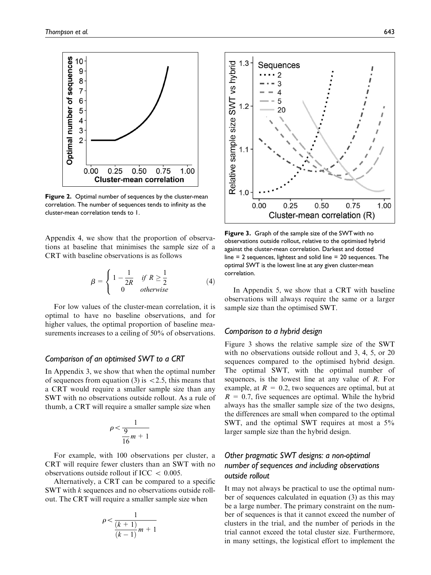

Figure 2. Optimal number of sequences by the cluster-mean correlation. The number of sequences tends to infinity as the cluster-mean correlation tends to 1.

Appendix 4, we show that the proportion of observations at baseline that minimises the sample size of a CRT with baseline observations is as follows

$$
\beta = \begin{cases} 1 - \frac{1}{2R} & \text{if } R \ge \frac{1}{2} \\ 0 & \text{otherwise} \end{cases}
$$
 (4)

For low values of the cluster-mean correlation, it is optimal to have no baseline observations, and for higher values, the optimal proportion of baseline measurements increases to a ceiling of 50% of observations.

## Comparison of an optimised SWT to a CRT

In Appendix 3, we show that when the optimal number of sequences from equation (3) is  $\langle 2.5, \text{ this means that} \rangle$ a CRT would require a smaller sample size than any SWT with no observations outside rollout. As a rule of thumb, a CRT will require a smaller sample size when

$$
\rho < \frac{1}{\frac{9}{16}m + 1}
$$

For example, with 100 observations per cluster, a CRT will require fewer clusters than an SWT with no observations outside rollout if  $\text{ICC} < 0.005$ .

Alternatively, a CRT can be compared to a specific SWT with k sequences and no observations outside rollout. The CRT will require a smaller sample size when

$$
\rho < \frac{1}{\frac{(k+1)}{(k-1)}m+1}
$$



Figure 3. Graph of the sample size of the SWT with no observations outside rollout, relative to the optimised hybrid against the cluster-mean correlation. Darkest and dotted line = 2 sequences, lightest and solid line = 20 sequences. The optimal SWT is the lowest line at any given cluster-mean correlation.

In Appendix 5, we show that a CRT with baseline observations will always require the same or a larger sample size than the optimised SWT.

#### Comparison to a hybrid design

Figure 3 shows the relative sample size of the SWT with no observations outside rollout and 3, 4, 5, or 20 sequences compared to the optimised hybrid design. The optimal SWT, with the optimal number of sequences, is the lowest line at any value of R. For example, at  $R = 0.2$ , two sequences are optimal, but at  $R = 0.7$ , five sequences are optimal. While the hybrid always has the smaller sample size of the two designs, the differences are small when compared to the optimal SWT, and the optimal SWT requires at most a 5% larger sample size than the hybrid design.

# Other pragmatic SWT designs: a non-optimal number of sequences and including observations outside rollout

It may not always be practical to use the optimal number of sequences calculated in equation (3) as this may be a large number. The primary constraint on the number of sequences is that it cannot exceed the number of clusters in the trial, and the number of periods in the trial cannot exceed the total cluster size. Furthermore, in many settings, the logistical effort to implement the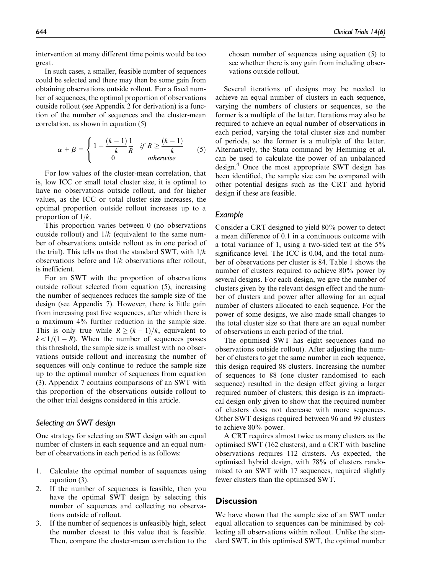intervention at many different time points would be too great.

In such cases, a smaller, feasible number of sequences could be selected and there may then be some gain from obtaining observations outside rollout. For a fixed number of sequences, the optimal proportion of observations outside rollout (see Appendix 2 for derivation) is a function of the number of sequences and the cluster-mean correlation, as shown in equation (5)

$$
\alpha + \beta = \begin{cases} 1 - \frac{(k-1)}{k} \frac{1}{R} & \text{if } R \ge \frac{(k-1)}{k} \\ 0 & \text{otherwise} \end{cases}
$$
 (5)

For low values of the cluster-mean correlation, that is, low ICC or small total cluster size, it is optimal to have no observations outside rollout, and for higher values, as the ICC or total cluster size increases, the optimal proportion outside rollout increases up to a proportion of 1/k.

This proportion varies between 0 (no observations outside rollout) and  $1/k$  (equivalent to the same number of observations outside rollout as in one period of the trial). This tells us that the standard SWT, with  $1/k$ observations before and 1/k observations after rollout, is inefficient.

For an SWT with the proportion of observations outside rollout selected from equation (5), increasing the number of sequences reduces the sample size of the design (see Appendix 7). However, there is little gain from increasing past five sequences, after which there is a maximum 4% further reduction in the sample size. This is only true while  $R \ge (k-1)/k$ , equivalent to  $k < 1/(1 - R)$ . When the number of sequences passes this threshold, the sample size is smallest with no observations outside rollout and increasing the number of sequences will only continue to reduce the sample size up to the optimal number of sequences from equation (3). Appendix 7 contains comparisons of an SWT with this proportion of the observations outside rollout to the other trial designs considered in this article.

#### Selecting an SWT design

One strategy for selecting an SWT design with an equal number of clusters in each sequence and an equal number of observations in each period is as follows:

- 1. Calculate the optimal number of sequences using equation (3).
- 2. If the number of sequences is feasible, then you have the optimal SWT design by selecting this number of sequences and collecting no observations outside of rollout.
- 3. If the number of sequences is unfeasibly high, select the number closest to this value that is feasible. Then, compare the cluster-mean correlation to the

chosen number of sequences using equation (5) to see whether there is any gain from including observations outside rollout.

Several iterations of designs may be needed to achieve an equal number of clusters in each sequence, varying the numbers of clusters or sequences, so the former is a multiple of the latter. Iterations may also be required to achieve an equal number of observations in each period, varying the total cluster size and number of periods, so the former is a multiple of the latter. Alternatively, the Stata command by Hemming et al. can be used to calculate the power of an unbalanced design.4 Once the most appropriate SWT design has been identified, the sample size can be compared with other potential designs such as the CRT and hybrid design if these are feasible.

#### Example

Consider a CRT designed to yield 80% power to detect a mean difference of 0.1 in a continuous outcome with a total variance of 1, using a two-sided test at the 5% significance level. The ICC is 0.04, and the total number of observations per cluster is 84. Table 1 shows the number of clusters required to achieve 80% power by several designs. For each design, we give the number of clusters given by the relevant design effect and the number of clusters and power after allowing for an equal number of clusters allocated to each sequence. For the power of some designs, we also made small changes to the total cluster size so that there are an equal number of observations in each period of the trial.

The optimised SWT has eight sequences (and no observations outside rollout). After adjusting the number of clusters to get the same number in each sequence, this design required 88 clusters. Increasing the number of sequences to 88 (one cluster randomised to each sequence) resulted in the design effect giving a larger required number of clusters; this design is an impractical design only given to show that the required number of clusters does not decrease with more sequences. Other SWT designs required between 96 and 99 clusters to achieve 80% power.

A CRT requires almost twice as many clusters as the optimised SWT (162 clusters), and a CRT with baseline observations requires 112 clusters. As expected, the optimised hybrid design, with 78% of clusters randomised to an SWT with 17 sequences, required slightly fewer clusters than the optimised SWT.

## **Discussion**

We have shown that the sample size of an SWT under equal allocation to sequences can be minimised by collecting all observations within rollout. Unlike the standard SWT, in this optimised SWT, the optimal number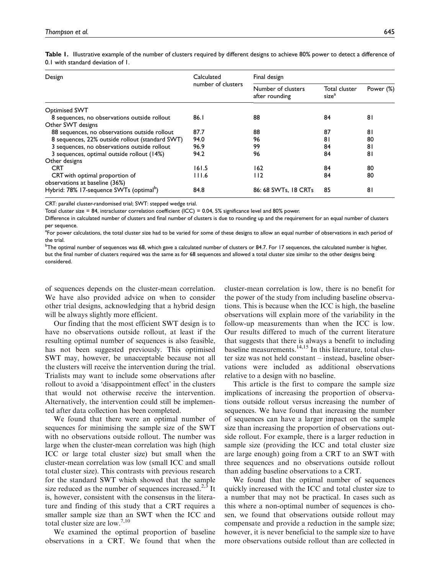| Design                                          | Calculated<br>number of clusters | Final design                         |                                    |           |
|-------------------------------------------------|----------------------------------|--------------------------------------|------------------------------------|-----------|
|                                                 |                                  | Number of clusters<br>after rounding | Total cluster<br>size <sup>a</sup> | Power (%) |
| <b>Optimised SWT</b>                            |                                  |                                      |                                    |           |
| 8 sequences, no observations outside rollout    | 86.1                             | 88                                   | 84                                 | 81        |
| Other SWT designs                               |                                  |                                      |                                    |           |
| 88 sequences, no observations outside rollout   | 87.7                             | 88                                   | 87                                 | 81        |
| 8 sequences, 22% outside rollout (standard SWT) | 94.0                             | 96                                   | 81                                 | 80        |
| 3 sequences, no observations outside rollout    | 96.9                             | 99                                   | 84                                 | 81        |
| 3 sequences, optimal outside rollout (14%)      | 94.2                             | 96                                   | 84                                 | 81        |
| Other designs                                   |                                  |                                      |                                    |           |
| <b>CRT</b>                                      | 161.5                            | 162                                  | 84                                 | 80        |
| CRT with optimal proportion of                  | 111.6                            | 112                                  | 84                                 | 80        |
| observations at baseline (36%)                  |                                  |                                      |                                    |           |
| Hybrid: 78% 17-sequence SWTs (optimalb)         | 84.8                             | 86: 68 SWTs, 18 CRTs                 | 85                                 | 81        |

Table 1. Illustrative example of the number of clusters required by different designs to achieve 80% power to detect a difference of 0.1 with standard deviation of 1.

CRT: parallel cluster-randomised trial; SWT: stepped wedge trial.

Total cluster size = 84, intracluster correlation coefficient (ICC) = 0.04, 5% significance level and 80% power.

Difference in calculated number of clusters and final number of clusters is due to rounding up and the requirement for an equal number of clusters per sequence.

<sup>a</sup>For power calculations, the total cluster size had to be varied for some of these designs to allow an equal number of observations in each period of the trial.

<sup>b</sup>The optimal number of sequences was 68, which gave a calculated number of clusters or 84.7. For 17 sequences, the calculated number is higher, but the final number of clusters required was the same as for 68 sequences and allowed a total cluster size similar to the other designs being considered.

of sequences depends on the cluster-mean correlation. We have also provided advice on when to consider other trial designs, acknowledging that a hybrid design will be always slightly more efficient.

Our finding that the most efficient SWT design is to have no observations outside rollout, at least if the resulting optimal number of sequences is also feasible, has not been suggested previously. This optimised SWT may, however, be unacceptable because not all the clusters will receive the intervention during the trial. Trialists may want to include some observations after rollout to avoid a 'disappointment effect' in the clusters that would not otherwise receive the intervention. Alternatively, the intervention could still be implemented after data collection has been completed.

We found that there were an optimal number of sequences for minimising the sample size of the SWT with no observations outside rollout. The number was large when the cluster-mean correlation was high (high ICC or large total cluster size) but small when the cluster-mean correlation was low (small ICC and small total cluster size). This contrasts with previous research for the standard SWT which showed that the sample size reduced as the number of sequences increased. $2,3$  It is, however, consistent with the consensus in the literature and finding of this study that a CRT requires a smaller sample size than an SWT when the ICC and total cluster size are low.7,10

We examined the optimal proportion of baseline observations in a CRT. We found that when the cluster-mean correlation is low, there is no benefit for the power of the study from including baseline observations. This is because when the ICC is high, the baseline observations will explain more of the variability in the follow-up measurements than when the ICC is low. Our results differed to much of the current literature that suggests that there is always a benefit to including baseline measurements.<sup>14,15</sup> In this literature, total cluster size was not held constant – instead, baseline observations were included as additional observations relative to a design with no baseline.

This article is the first to compare the sample size implications of increasing the proportion of observations outside rollout versus increasing the number of sequences. We have found that increasing the number of sequences can have a larger impact on the sample size than increasing the proportion of observations outside rollout. For example, there is a larger reduction in sample size (providing the ICC and total cluster size are large enough) going from a CRT to an SWT with three sequences and no observations outside rollout than adding baseline observations to a CRT.

We found that the optimal number of sequences quickly increased with the ICC and total cluster size to a number that may not be practical. In cases such as this where a non-optimal number of sequences is chosen, we found that observations outside rollout may compensate and provide a reduction in the sample size; however, it is never beneficial to the sample size to have more observations outside rollout than are collected in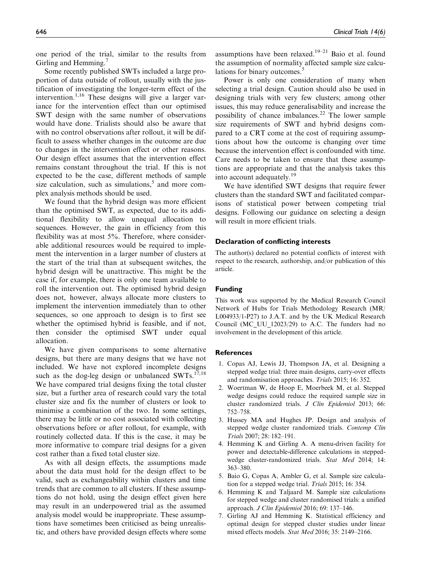one period of the trial, similar to the results from Girling and Hemming.

Some recently published SWTs included a large proportion of data outside of rollout, usually with the justification of investigating the longer-term effect of the intervention.<sup>1,16</sup> These designs will give a larger variance for the intervention effect than our optimised SWT design with the same number of observations would have done. Trialists should also be aware that with no control observations after rollout, it will be difficult to assess whether changes in the outcome are due to changes in the intervention effect or other reasons. Our design effect assumes that the intervention effect remains constant throughout the trial. If this is not expected to be the case, different methods of sample size calculation, such as simulations, $5$  and more complex analysis methods should be used.

We found that the hybrid design was more efficient than the optimised SWT, as expected, due to its additional flexibility to allow unequal allocation to sequences. However, the gain in efficiency from this flexibility was at most 5%. Therefore, where considerable additional resources would be required to implement the intervention in a larger number of clusters at the start of the trial than at subsequent switches, the hybrid design will be unattractive. This might be the case if, for example, there is only one team available to roll the intervention out. The optimised hybrid design does not, however, always allocate more clusters to implement the intervention immediately than to other sequences, so one approach to design is to first see whether the optimised hybrid is feasible, and if not, then consider the optimised SWT under equal allocation.

We have given comparisons to some alternative designs, but there are many designs that we have not included. We have not explored incomplete designs such as the dog-leg design or unbalanced SWTs.<sup>17,18</sup> We have compared trial designs fixing the total cluster size, but a further area of research could vary the total cluster size and fix the number of clusters or look to minimise a combination of the two. In some settings, there may be little or no cost associated with collecting observations before or after rollout, for example, with routinely collected data. If this is the case, it may be more informative to compare trial designs for a given cost rather than a fixed total cluster size.

As with all design effects, the assumptions made about the data must hold for the design effect to be valid, such as exchangeability within clusters and time trends that are common to all clusters. If these assumptions do not hold, using the design effect given here may result in an underpowered trial as the assumed analysis model would be inappropriate. These assumptions have sometimes been criticised as being unrealistic, and others have provided design effects where some assumptions have been relaxed.<sup>19–21</sup> Baio et al. found the assumption of normality affected sample size calculations for binary outcomes.<sup>5</sup>

Power is only one consideration of many when selecting a trial design. Caution should also be used in designing trials with very few clusters; among other issues, this may reduce generalisability and increase the possibility of chance imbalances.<sup>22</sup> The lower sample size requirements of SWT and hybrid designs compared to a CRT come at the cost of requiring assumptions about how the outcome is changing over time because the intervention effect is confounded with time. Care needs to be taken to ensure that these assumptions are appropriate and that the analysis takes this into account adequately.<sup>19</sup>

We have identified SWT designs that require fewer clusters than the standard SWT and facilitated comparisons of statistical power between competing trial designs. Following our guidance on selecting a design will result in more efficient trials.

#### Declaration of conflicting interests

The author(s) declared no potential conflicts of interest with respect to the research, authorship, and/or publication of this article.

#### Funding

This work was supported by the Medical Research Council Network of Hubs for Trials Methodology Research (MR/ L004933/1-P27) to J.A.T. and by the UK Medical Research Council (MC\_UU\_12023/29) to A.C. The funders had no involvement in the development of this article.

#### References

- 1. Copas AJ, Lewis JJ, Thompson JA, et al. Designing a stepped wedge trial: three main designs, carry-over effects and randomisation approaches. Trials 2015; 16: 352.
- 2. Woertman W, de Hoop E, Moerbeek M, et al. Stepped wedge designs could reduce the required sample size in cluster randomized trials. J Clin Epidemiol 2013; 66: 752–758.
- 3. Hussey MA and Hughes JP. Design and analysis of stepped wedge cluster randomized trials. Contemp Clin Trials 2007; 28: 182–191.
- 4. Hemming K and Girling A. A menu-driven facility for power and detectable-difference calculations in steppedwedge cluster-randomized trials. Stat Med 2014; 14: 363–380.
- 5. Baio G, Copas A, Ambler G, et al. Sample size calculation for a stepped wedge trial. Trials 2015; 16: 354.
- 6. Hemming K and Taljaard M. Sample size calculations for stepped wedge and cluster randomised trials: a unified approach. J Clin Epidemiol 2016; 69: 137–146.
- 7. Girling AJ and Hemming K. Statistical efficiency and optimal design for stepped cluster studies under linear mixed effects models. Stat Med 2016; 35: 2149–2166.